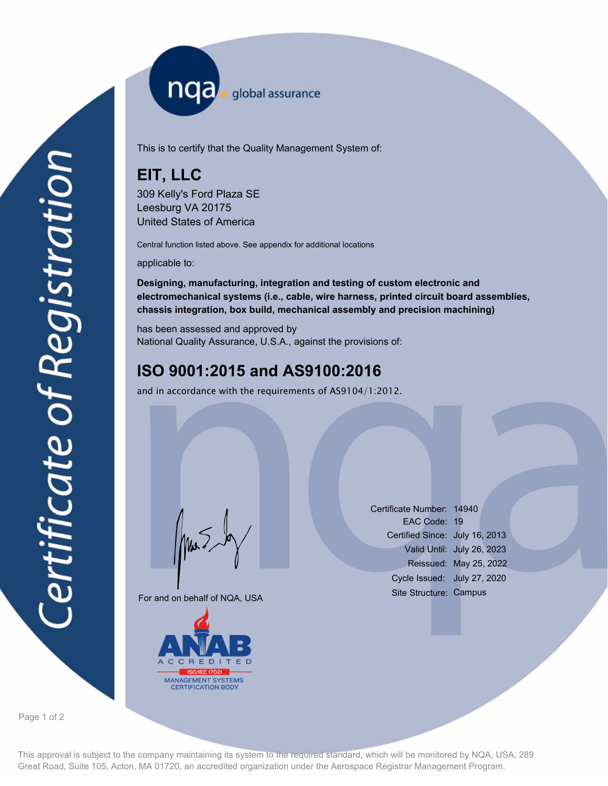nqa <sub>slobal assurance</sub>

This is to certify that the Quality Management System of:

# **EIT, LLC**

309 Kelly's Ford Plaza SE Leesburg VA 20175 United States of America

Central function listed above. See appendix for additional locations

applicable to:

**Designing, manufacturing, integration and testing of custom electronic and electromechanical systems (i.e., cable, wire harness, printed circuit board assemblies, chassis integration, box build, mechanical assembly and precision machining)**

has been assessed and approved by National Quality Assurance, U.S.A., against the provisions of:

# **ISO 9001:2015 and AS9100:2016**

and in accordance with the requirements of AS9104/1:2012.

For and on behalf of NQA, USA

Mus



Certificate Number: 14940 EAC Code: 19 Certified Since: July 16, 2013 Valid Until: July 26, 2023 Reissued: May 25, 2022 Cycle Issued: July 27, 2020 Site Structure: Campus

Page 1 of 2

This approval is subject to the company maintaining its system to the required standard, which will be monitored by NQA, USA, 289 Great Road, Suite 105, Acton, MA 01720, an accredited organization under the Aerospace Registrar Management Program.